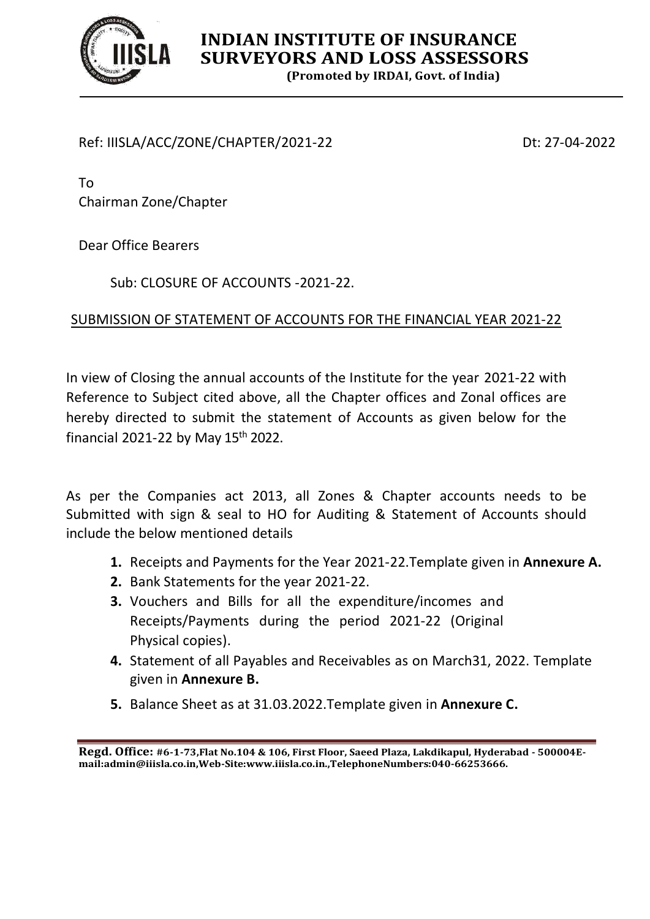

# **INDIAN INSTITUTE OF INSURANCE SURVEYORS AND LOSS ASSESSORS**

**(Promoted by IRDAI, Govt. of India)**

## Ref: IIISLA/ACC/ZONE/CHAPTER/2021-22 Dt: 27-04-2022

To Chairman Zone/Chapter

Dear Office Bearers

Sub: CLOSURE OF ACCOUNTS -2021-22.

# SUBMISSION OF STATEMENT OF ACCOUNTS FOR THE FINANCIAL YEAR 2021-22

In view of Closing the annual accounts of the Institute for the year 2021-22 with Reference to Subject cited above, all the Chapter offices and Zonal offices are hereby directed to submit the statement of Accounts as given below for the financial 2021-22 by May 15<sup>th</sup> 2022.

As per the Companies act 2013, all Zones & Chapter accounts needs to be Submitted with sign & seal to HO for Auditing & Statement of Accounts should include the below mentioned details

- **1.** Receipts and Payments for the Year 2021-22.Template given in **Annexure A.**
- **2.** Bank Statements for the year 2021-22.
- **3.** Vouchers and Bills for all the expenditure/incomes and Receipts/Payments during the period 2021-22 (Original Physical copies).
- **4.** Statement of all Payables and Receivables as on March31, 2022. Template given in **Annexure B.**
- **5.** Balance Sheet as at 31.03.2022.Template given in **Annexure C.**

**Regd. Office: #6-1-73,Flat No.104 & 106, First Floor, Saeed Plaza, Lakdikapul, Hyderabad - 500004Email:admin@iiisla.co.in,Web-Site:www.iiisla.co.in.,TelephoneNumbers:040-66253666.**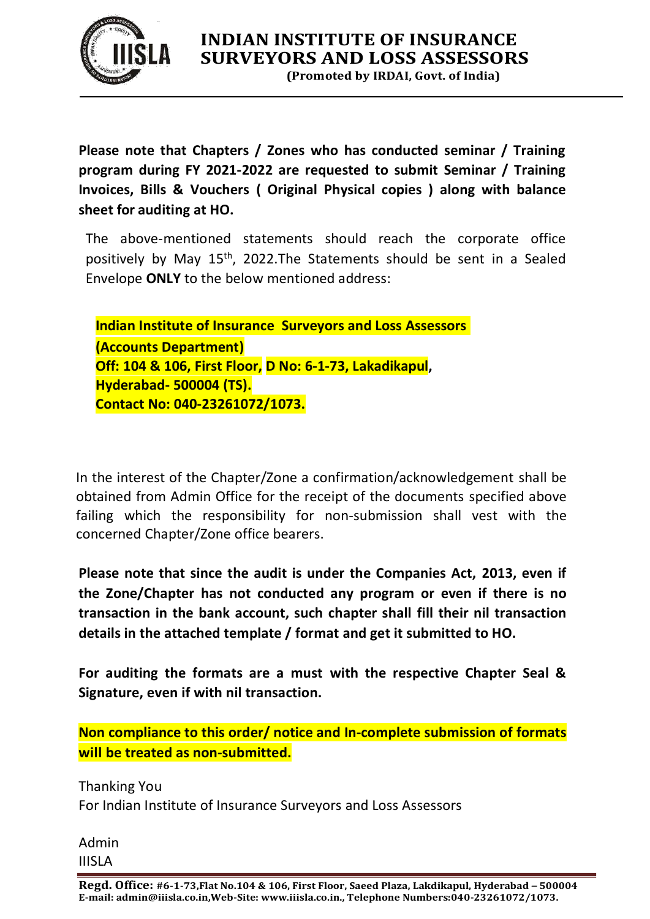

**(Promoted by IRDAI, Govt. of India)**

**Please note that Chapters / Zones who has conducted seminar / Training program during FY 2021-2022 are requested to submit Seminar / Training Invoices, Bills & Vouchers ( Original Physical copies ) along with balance sheet for auditing at HO.**

The above-mentioned statements should reach the corporate office positively by May 15<sup>th</sup>, 2022.The Statements should be sent in a Sealed Envelope **ONLY** to the below mentioned address:

**Indian Institute of Insurance Surveyors and Loss Assessors (Accounts Department) Off: 104 & 106, First Floor, D No: 6-1-73, Lakadikapul, Hyderabad- 500004 (TS). Contact No: 040-23261072/1073.**

In the interest of the Chapter/Zone a confirmation/acknowledgement shall be obtained from Admin Office for the receipt of the documents specified above failing which the responsibility for non-submission shall vest with the concerned Chapter/Zone office bearers.

**Please note that since the audit is under the Companies Act, 2013, even if the Zone/Chapter has not conducted any program or even if there is no transaction in the bank account, such chapter shall fill their nil transaction details in the attached template / format and get it submitted to HO.**

**For auditing the formats are a must with the respective Chapter Seal & Signature, even if with nil transaction.**

**Non compliance to this order/ notice and In-complete submission of formats will be treated as non-submitted.**

Thanking You For Indian Institute of Insurance Surveyors and Loss Assessors

Admin IIISLA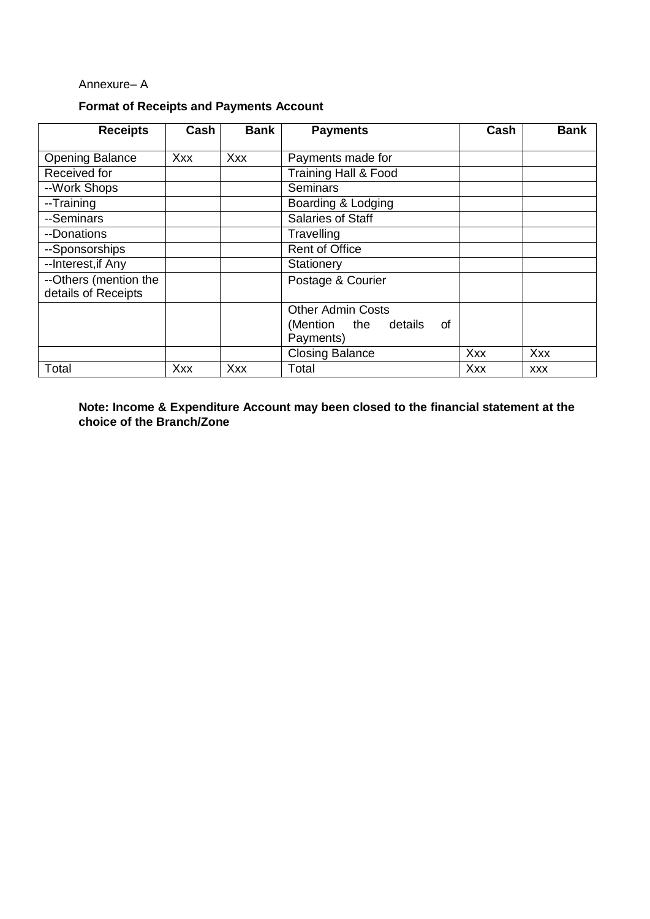#### Annexure– A

## **Format of Receipts and Payments Account**

| <b>Receipts</b>                              | Cash       | <b>Bank</b> | <b>Payments</b>                               | Cash       | <b>Bank</b> |
|----------------------------------------------|------------|-------------|-----------------------------------------------|------------|-------------|
| <b>Opening Balance</b>                       | <b>Xxx</b> | Xxx         | Payments made for                             |            |             |
| Received for                                 |            |             | Training Hall & Food                          |            |             |
| --Work Shops                                 |            |             | Seminars                                      |            |             |
| --Training                                   |            |             | Boarding & Lodging                            |            |             |
| --Seminars                                   |            |             | Salaries of Staff                             |            |             |
| --Donations                                  |            |             | Travelling                                    |            |             |
| --Sponsorships                               |            |             | <b>Rent of Office</b>                         |            |             |
| --Interest, if Any                           |            |             | Stationery                                    |            |             |
| --Others (mention the<br>details of Receipts |            |             | Postage & Courier                             |            |             |
|                                              |            |             | <b>Other Admin Costs</b>                      |            |             |
|                                              |            |             | (Mention<br>the<br>details<br>οf<br>Payments) |            |             |
|                                              |            |             | <b>Closing Balance</b>                        | <b>Xxx</b> | <b>Xxx</b>  |
| Total                                        | Xxx        | <b>Xxx</b>  | Total                                         | Xxx        | <b>XXX</b>  |

**Note: Income & Expenditure Account may been closed to the financial statement at the choice of the Branch/Zone**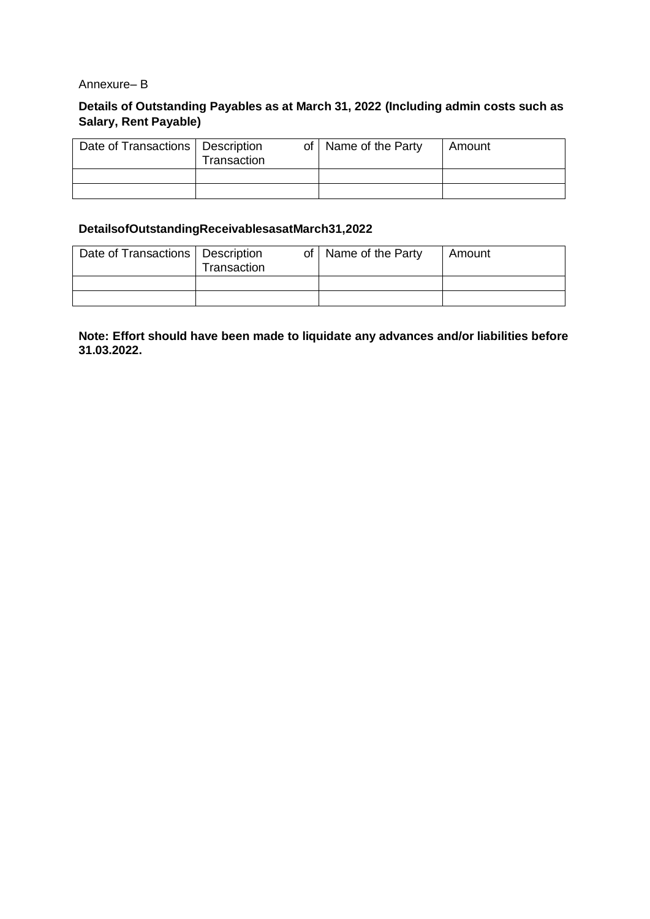#### Annexure– B

### **Details of Outstanding Payables as at March 31, 2022 (Including admin costs such as Salary, Rent Payable)**

| Date of Transactions   Description | Transaction | of   Name of the Party | l Amount |
|------------------------------------|-------------|------------------------|----------|
|                                    |             |                        |          |
|                                    |             |                        |          |

#### **DetailsofOutstandingReceivablesasatMarch31,2022**

| Date of Transactions   Description | Transaction | of   Name of the Party | l Amount |
|------------------------------------|-------------|------------------------|----------|
|                                    |             |                        |          |
|                                    |             |                        |          |

**Note: Effort should have been made to liquidate any advances and/or liabilities before 31.03.2022.**